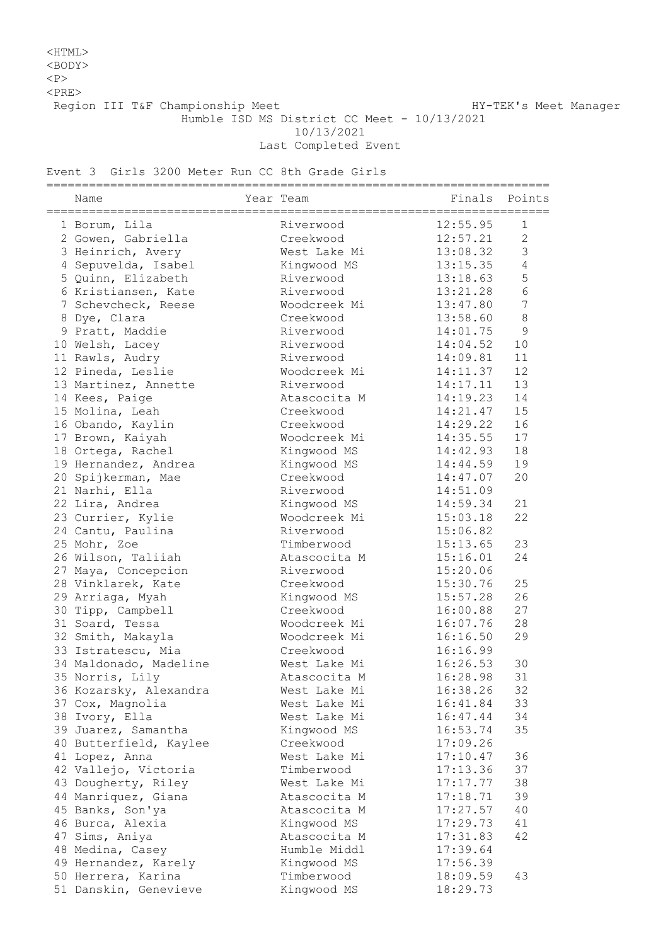## <HTML> <BODY>

 $<sub>P</sub>$ 

 $<$ PRE $>$ 

Region III T&F Championship Meet Nanager HY-TEK's Meet Manager

Humble ISD MS District CC Meet - 10/13/2021

10/13/2021

Last Completed Event

## Event 3 Girls 3200 Meter Run CC 8th Grade Girls

| Name                   | Year Team    | =========================<br>Finals Points |                |
|------------------------|--------------|--------------------------------------------|----------------|
| 1 Borum, Lila          | Riverwood    | 12:55.95                                   | 1              |
| 2 Gowen, Gabriella     | Creekwood    | 12:57.21                                   | $\overline{2}$ |
| 3 Heinrich, Avery      | West Lake Mi | 13:08.32                                   | 3              |
| 4 Sepuvelda, Isabel    | Kingwood MS  | 13:15.35                                   | $\overline{4}$ |
| 5 Quinn, Elizabeth     | Riverwood    | 13:18.63                                   | 5              |
| 6 Kristiansen, Kate    | Riverwood    | 13:21.28                                   | $6\,$          |
| 7 Schevcheck, Reese    | Woodcreek Mi | 13:47.80                                   | $\overline{7}$ |
| 8 Dye, Clara           | Creekwood    | 13:58.60                                   | 8              |
| 9 Pratt, Maddie        | Riverwood    | 14:01.75                                   | 9              |
| 10 Welsh, Lacey        | Riverwood    | 14:04.52                                   | 10             |
| 11 Rawls, Audry        | Riverwood    | 14:09.81                                   | 11             |
| 12 Pineda, Leslie      | Woodcreek Mi | 14:11.37                                   | 12             |
| 13 Martinez, Annette   | Riverwood    | 14:17.11                                   | 13             |
| 14 Kees, Paige         | Atascocita M | 14:19.23                                   | 14             |
| 15 Molina, Leah        | Creekwood    | 14:21.47                                   | 15             |
|                        | Creekwood    | 14:29.22                                   | 16             |
| 16 Obando, Kaylin      |              |                                            | 17             |
| 17 Brown, Kaiyah       | Woodcreek Mi | 14:35.55                                   |                |
| 18 Ortega, Rachel      | Kingwood MS  | 14:42.93                                   | 18             |
| 19 Hernandez, Andrea   | Kingwood MS  | 14:44.59                                   | 19             |
| 20 Spijkerman, Mae     | Creekwood    | 14:47.07                                   | 20             |
| 21 Narhi, Ella         | Riverwood    | 14:51.09                                   |                |
| 22 Lira, Andrea        | Kingwood MS  | 14:59.34                                   | 21             |
| 23 Currier, Kylie      | Woodcreek Mi | 15:03.18                                   | 22             |
| 24 Cantu, Paulina      | Riverwood    | 15:06.82                                   |                |
| 25 Mohr, Zoe           | Timberwood   | 15:13.65                                   | 23             |
| 26 Wilson, Taliiah     | Atascocita M | 15:16.01                                   | 24             |
| 27 Maya, Concepcion    | Riverwood    | 15:20.06                                   |                |
| 28 Vinklarek, Kate     | Creekwood    | 15:30.76                                   | 25             |
| 29 Arriaga, Myah       | Kingwood MS  | 15:57.28                                   | 26             |
| 30 Tipp, Campbell      | Creekwood    | 16:00.88                                   | 27             |
| 31 Soard, Tessa        | Woodcreek Mi | 16:07.76                                   | 28             |
| 32 Smith, Makayla      | Woodcreek Mi | 16:16.50                                   | 29             |
| 33 Istratescu, Mia     | Creekwood    | 16:16.99                                   |                |
| 34 Maldonado, Madeline | West Lake Mi | 16:26.53                                   | 30             |
| 35 Norris, Lily        | Atascocita M | 16:28.98                                   | 31             |
| 36 Kozarsky, Alexandra | West Lake Mi | 16:38.26                                   | 32             |
| 37 Cox, Magnolia       | West Lake Mi | 16:41.84                                   | 33             |
| 38 Ivory, Ella         | West Lake Mi | 16:47.44                                   | 34             |
| 39 Juarez, Samantha    | Kingwood MS  | 16:53.74                                   | 35             |
| 40 Butterfield, Kaylee | Creekwood    | 17:09.26                                   |                |
| 41 Lopez, Anna         | West Lake Mi | 17:10.47                                   | 36             |
| 42 Vallejo, Victoria   | Timberwood   | 17:13.36                                   | 37             |
| 43 Dougherty, Riley    | West Lake Mi | 17:17.77                                   | 38             |
| 44 Manriquez, Giana    | Atascocita M | 17:18.71                                   | 39             |
| 45 Banks, Son'ya       | Atascocita M | 17:27.57                                   | 40             |
| 46 Burca, Alexia       | Kingwood MS  | 17:29.73                                   | 41             |
| 47 Sims, Aniya         | Atascocita M | 17:31.83                                   | 42             |
| 48 Medina, Casey       | Humble Middl | 17:39.64                                   |                |
| 49 Hernandez, Karely   | Kingwood MS  | 17:56.39                                   |                |
| 50 Herrera, Karina     | Timberwood   | 18:09.59                                   | 43             |
| 51 Danskin, Genevieve  | Kingwood MS  | 18:29.73                                   |                |